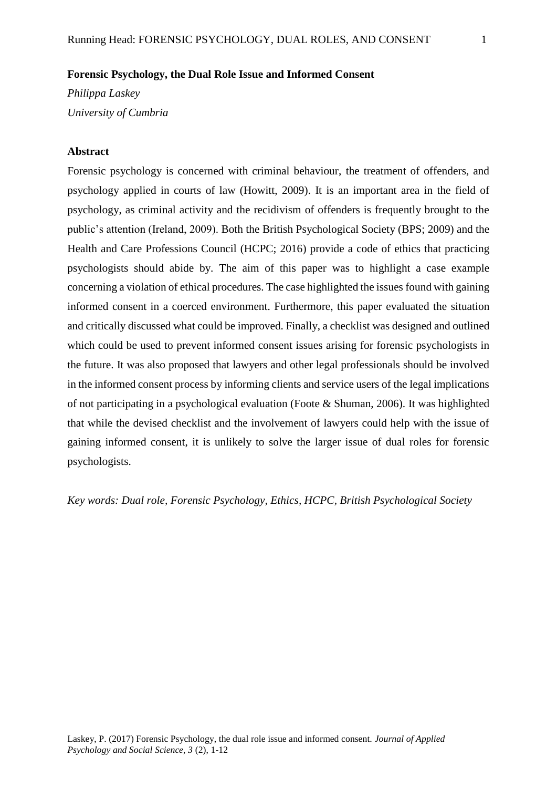### **Forensic Psychology, the Dual Role Issue and Informed Consent**

*Philippa Laskey University of Cumbria*

#### **Abstract**

Forensic psychology is concerned with criminal behaviour, the treatment of offenders, and psychology applied in courts of law (Howitt, 2009). It is an important area in the field of psychology, as criminal activity and the recidivism of offenders is frequently brought to the public's attention (Ireland, 2009). Both the British Psychological Society (BPS; 2009) and the Health and Care Professions Council (HCPC; 2016) provide a code of ethics that practicing psychologists should abide by. The aim of this paper was to highlight a case example concerning a violation of ethical procedures. The case highlighted the issues found with gaining informed consent in a coerced environment. Furthermore, this paper evaluated the situation and critically discussed what could be improved. Finally, a checklist was designed and outlined which could be used to prevent informed consent issues arising for forensic psychologists in the future. It was also proposed that lawyers and other legal professionals should be involved in the informed consent process by informing clients and service users of the legal implications of not participating in a psychological evaluation (Foote & Shuman, 2006). It was highlighted that while the devised checklist and the involvement of lawyers could help with the issue of gaining informed consent, it is unlikely to solve the larger issue of dual roles for forensic psychologists.

*Key words: Dual role, Forensic Psychology, Ethics, HCPC, British Psychological Society*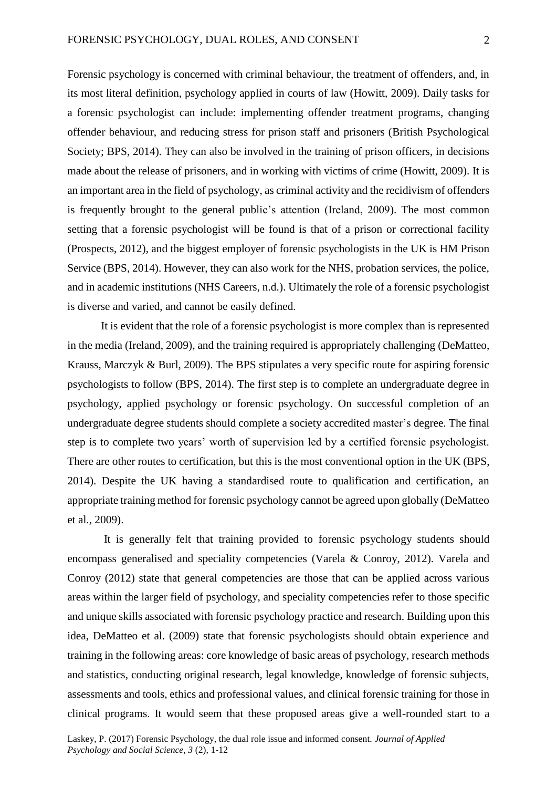Forensic psychology is concerned with criminal behaviour, the treatment of offenders, and, in its most literal definition, psychology applied in courts of law (Howitt, 2009). Daily tasks for a forensic psychologist can include: implementing offender treatment programs, changing offender behaviour, and reducing stress for prison staff and prisoners (British Psychological Society; BPS, 2014). They can also be involved in the training of prison officers, in decisions made about the release of prisoners, and in working with victims of crime (Howitt, 2009). It is an important area in the field of psychology, as criminal activity and the recidivism of offenders is frequently brought to the general public's attention (Ireland, 2009). The most common setting that a forensic psychologist will be found is that of a prison or correctional facility (Prospects, 2012), and the biggest employer of forensic psychologists in the UK is HM Prison Service (BPS, 2014). However, they can also work for the NHS, probation services, the police, and in academic institutions (NHS Careers, n.d.). Ultimately the role of a forensic psychologist is diverse and varied, and cannot be easily defined.

It is evident that the role of a forensic psychologist is more complex than is represented in the media (Ireland, 2009), and the training required is appropriately challenging (DeMatteo, Krauss, Marczyk & Burl, 2009). The BPS stipulates a very specific route for aspiring forensic psychologists to follow (BPS, 2014). The first step is to complete an undergraduate degree in psychology, applied psychology or forensic psychology. On successful completion of an undergraduate degree students should complete a society accredited master's degree. The final step is to complete two years' worth of supervision led by a certified forensic psychologist. There are other routes to certification, but this is the most conventional option in the UK (BPS, 2014). Despite the UK having a standardised route to qualification and certification, an appropriate training method for forensic psychology cannot be agreed upon globally (DeMatteo et al., 2009).

It is generally felt that training provided to forensic psychology students should encompass generalised and speciality competencies (Varela & Conroy, 2012). Varela and Conroy (2012) state that general competencies are those that can be applied across various areas within the larger field of psychology, and speciality competencies refer to those specific and unique skills associated with forensic psychology practice and research. Building upon this idea, DeMatteo et al. (2009) state that forensic psychologists should obtain experience and training in the following areas: core knowledge of basic areas of psychology, research methods and statistics, conducting original research, legal knowledge, knowledge of forensic subjects, assessments and tools, ethics and professional values, and clinical forensic training for those in clinical programs. It would seem that these proposed areas give a well-rounded start to a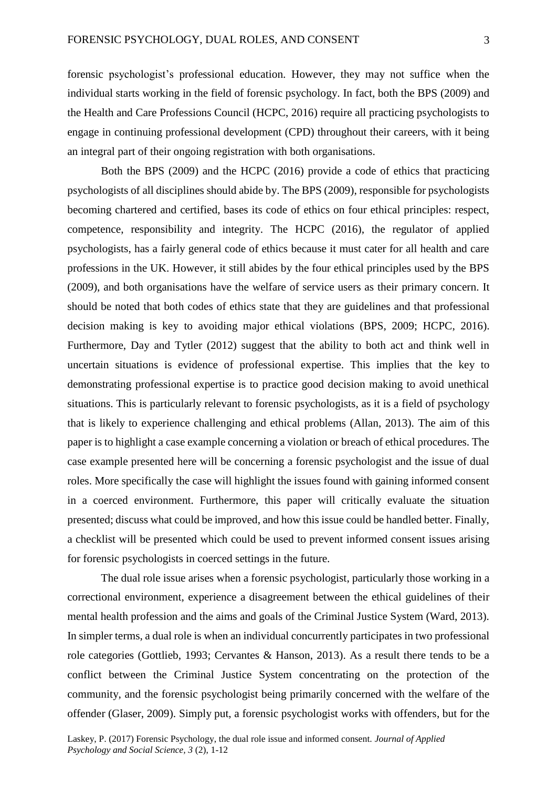forensic psychologist's professional education. However, they may not suffice when the individual starts working in the field of forensic psychology. In fact, both the BPS (2009) and the Health and Care Professions Council (HCPC, 2016) require all practicing psychologists to engage in continuing professional development (CPD) throughout their careers, with it being an integral part of their ongoing registration with both organisations.

Both the BPS (2009) and the HCPC (2016) provide a code of ethics that practicing psychologists of all disciplines should abide by. The BPS (2009), responsible for psychologists becoming chartered and certified, bases its code of ethics on four ethical principles: respect, competence, responsibility and integrity. The HCPC (2016), the regulator of applied psychologists, has a fairly general code of ethics because it must cater for all health and care professions in the UK. However, it still abides by the four ethical principles used by the BPS (2009), and both organisations have the welfare of service users as their primary concern. It should be noted that both codes of ethics state that they are guidelines and that professional decision making is key to avoiding major ethical violations (BPS, 2009; HCPC, 2016). Furthermore, Day and Tytler (2012) suggest that the ability to both act and think well in uncertain situations is evidence of professional expertise. This implies that the key to demonstrating professional expertise is to practice good decision making to avoid unethical situations. This is particularly relevant to forensic psychologists, as it is a field of psychology that is likely to experience challenging and ethical problems (Allan, 2013). The aim of this paper is to highlight a case example concerning a violation or breach of ethical procedures. The case example presented here will be concerning a forensic psychologist and the issue of dual roles. More specifically the case will highlight the issues found with gaining informed consent in a coerced environment. Furthermore, this paper will critically evaluate the situation presented; discuss what could be improved, and how this issue could be handled better. Finally, a checklist will be presented which could be used to prevent informed consent issues arising for forensic psychologists in coerced settings in the future.

The dual role issue arises when a forensic psychologist, particularly those working in a correctional environment, experience a disagreement between the ethical guidelines of their mental health profession and the aims and goals of the Criminal Justice System (Ward, 2013). In simpler terms, a dual role is when an individual concurrently participates in two professional role categories (Gottlieb, 1993; Cervantes & Hanson, 2013). As a result there tends to be a conflict between the Criminal Justice System concentrating on the protection of the community, and the forensic psychologist being primarily concerned with the welfare of the offender (Glaser, 2009). Simply put, a forensic psychologist works with offenders, but for the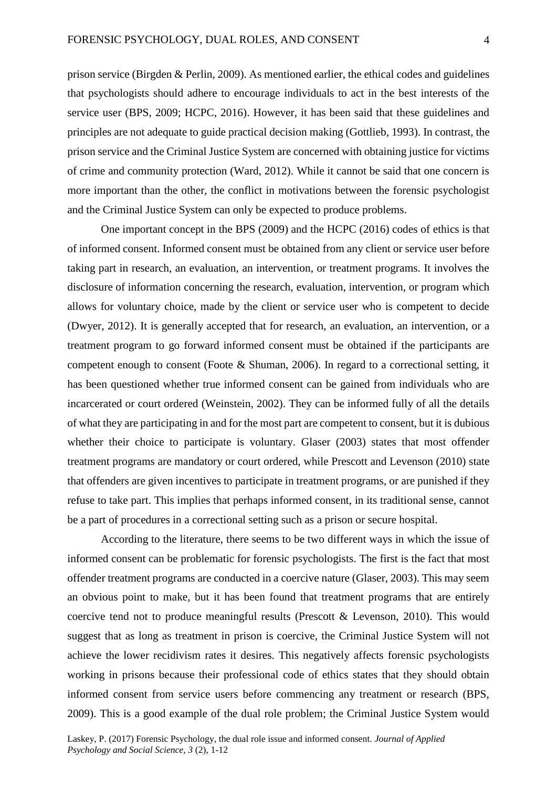prison service (Birgden & Perlin, 2009). As mentioned earlier, the ethical codes and guidelines that psychologists should adhere to encourage individuals to act in the best interests of the service user (BPS, 2009; HCPC, 2016). However, it has been said that these guidelines and principles are not adequate to guide practical decision making (Gottlieb, 1993). In contrast, the prison service and the Criminal Justice System are concerned with obtaining justice for victims of crime and community protection (Ward, 2012). While it cannot be said that one concern is more important than the other, the conflict in motivations between the forensic psychologist and the Criminal Justice System can only be expected to produce problems.

One important concept in the BPS (2009) and the HCPC (2016) codes of ethics is that of informed consent. Informed consent must be obtained from any client or service user before taking part in research, an evaluation, an intervention, or treatment programs. It involves the disclosure of information concerning the research, evaluation, intervention, or program which allows for voluntary choice, made by the client or service user who is competent to decide (Dwyer, 2012). It is generally accepted that for research, an evaluation, an intervention, or a treatment program to go forward informed consent must be obtained if the participants are competent enough to consent (Foote & Shuman, 2006). In regard to a correctional setting, it has been questioned whether true informed consent can be gained from individuals who are incarcerated or court ordered (Weinstein, 2002). They can be informed fully of all the details of what they are participating in and for the most part are competent to consent, but it is dubious whether their choice to participate is voluntary. Glaser (2003) states that most offender treatment programs are mandatory or court ordered, while Prescott and Levenson (2010) state that offenders are given incentives to participate in treatment programs, or are punished if they refuse to take part. This implies that perhaps informed consent, in its traditional sense, cannot be a part of procedures in a correctional setting such as a prison or secure hospital.

According to the literature, there seems to be two different ways in which the issue of informed consent can be problematic for forensic psychologists. The first is the fact that most offender treatment programs are conducted in a coercive nature (Glaser, 2003). This may seem an obvious point to make, but it has been found that treatment programs that are entirely coercive tend not to produce meaningful results (Prescott & Levenson, 2010). This would suggest that as long as treatment in prison is coercive, the Criminal Justice System will not achieve the lower recidivism rates it desires. This negatively affects forensic psychologists working in prisons because their professional code of ethics states that they should obtain informed consent from service users before commencing any treatment or research (BPS, 2009). This is a good example of the dual role problem; the Criminal Justice System would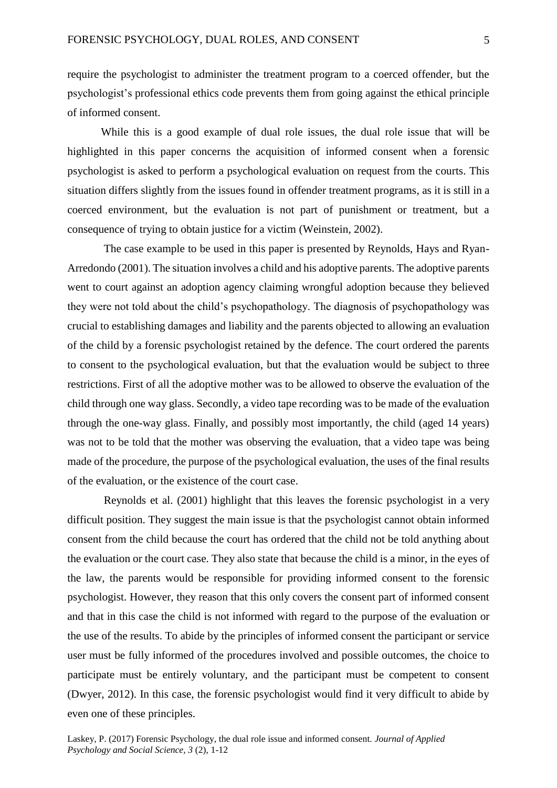require the psychologist to administer the treatment program to a coerced offender, but the psychologist's professional ethics code prevents them from going against the ethical principle of informed consent.

While this is a good example of dual role issues, the dual role issue that will be highlighted in this paper concerns the acquisition of informed consent when a forensic psychologist is asked to perform a psychological evaluation on request from the courts. This situation differs slightly from the issues found in offender treatment programs, as it is still in a coerced environment, but the evaluation is not part of punishment or treatment, but a consequence of trying to obtain justice for a victim (Weinstein, 2002).

The case example to be used in this paper is presented by Reynolds, Hays and Ryan-Arredondo (2001). The situation involves a child and his adoptive parents. The adoptive parents went to court against an adoption agency claiming wrongful adoption because they believed they were not told about the child's psychopathology. The diagnosis of psychopathology was crucial to establishing damages and liability and the parents objected to allowing an evaluation of the child by a forensic psychologist retained by the defence. The court ordered the parents to consent to the psychological evaluation, but that the evaluation would be subject to three restrictions. First of all the adoptive mother was to be allowed to observe the evaluation of the child through one way glass. Secondly, a video tape recording was to be made of the evaluation through the one-way glass. Finally, and possibly most importantly, the child (aged 14 years) was not to be told that the mother was observing the evaluation, that a video tape was being made of the procedure, the purpose of the psychological evaluation, the uses of the final results of the evaluation, or the existence of the court case.

Reynolds et al. (2001) highlight that this leaves the forensic psychologist in a very difficult position. They suggest the main issue is that the psychologist cannot obtain informed consent from the child because the court has ordered that the child not be told anything about the evaluation or the court case. They also state that because the child is a minor, in the eyes of the law, the parents would be responsible for providing informed consent to the forensic psychologist. However, they reason that this only covers the consent part of informed consent and that in this case the child is not informed with regard to the purpose of the evaluation or the use of the results. To abide by the principles of informed consent the participant or service user must be fully informed of the procedures involved and possible outcomes, the choice to participate must be entirely voluntary, and the participant must be competent to consent (Dwyer, 2012). In this case, the forensic psychologist would find it very difficult to abide by even one of these principles.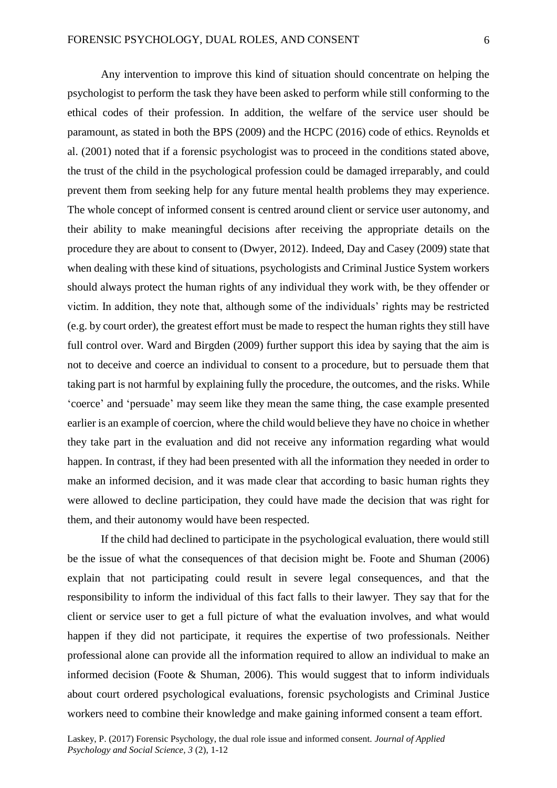Any intervention to improve this kind of situation should concentrate on helping the psychologist to perform the task they have been asked to perform while still conforming to the ethical codes of their profession. In addition, the welfare of the service user should be paramount, as stated in both the BPS (2009) and the HCPC (2016) code of ethics. Reynolds et al. (2001) noted that if a forensic psychologist was to proceed in the conditions stated above, the trust of the child in the psychological profession could be damaged irreparably, and could prevent them from seeking help for any future mental health problems they may experience. The whole concept of informed consent is centred around client or service user autonomy, and their ability to make meaningful decisions after receiving the appropriate details on the procedure they are about to consent to (Dwyer, 2012). Indeed, Day and Casey (2009) state that when dealing with these kind of situations, psychologists and Criminal Justice System workers should always protect the human rights of any individual they work with, be they offender or victim. In addition, they note that, although some of the individuals' rights may be restricted (e.g. by court order), the greatest effort must be made to respect the human rights they still have full control over. Ward and Birgden (2009) further support this idea by saying that the aim is not to deceive and coerce an individual to consent to a procedure, but to persuade them that taking part is not harmful by explaining fully the procedure, the outcomes, and the risks. While 'coerce' and 'persuade' may seem like they mean the same thing, the case example presented earlier is an example of coercion, where the child would believe they have no choice in whether they take part in the evaluation and did not receive any information regarding what would happen. In contrast, if they had been presented with all the information they needed in order to make an informed decision, and it was made clear that according to basic human rights they were allowed to decline participation, they could have made the decision that was right for them, and their autonomy would have been respected.

If the child had declined to participate in the psychological evaluation, there would still be the issue of what the consequences of that decision might be. Foote and Shuman (2006) explain that not participating could result in severe legal consequences, and that the responsibility to inform the individual of this fact falls to their lawyer. They say that for the client or service user to get a full picture of what the evaluation involves, and what would happen if they did not participate, it requires the expertise of two professionals. Neither professional alone can provide all the information required to allow an individual to make an informed decision (Foote & Shuman, 2006). This would suggest that to inform individuals about court ordered psychological evaluations, forensic psychologists and Criminal Justice workers need to combine their knowledge and make gaining informed consent a team effort.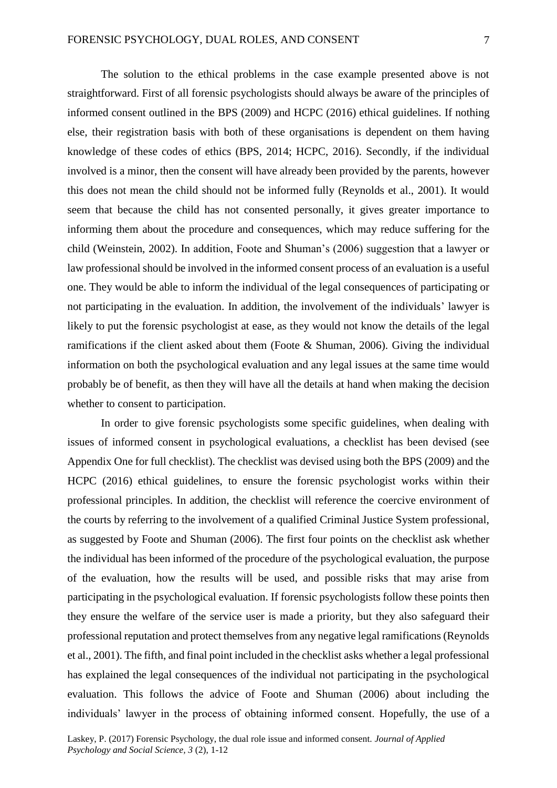The solution to the ethical problems in the case example presented above is not straightforward. First of all forensic psychologists should always be aware of the principles of informed consent outlined in the BPS (2009) and HCPC (2016) ethical guidelines. If nothing else, their registration basis with both of these organisations is dependent on them having knowledge of these codes of ethics (BPS, 2014; HCPC, 2016). Secondly, if the individual involved is a minor, then the consent will have already been provided by the parents, however this does not mean the child should not be informed fully (Reynolds et al., 2001). It would seem that because the child has not consented personally, it gives greater importance to informing them about the procedure and consequences, which may reduce suffering for the child (Weinstein, 2002). In addition, Foote and Shuman's (2006) suggestion that a lawyer or law professional should be involved in the informed consent process of an evaluation is a useful one. They would be able to inform the individual of the legal consequences of participating or not participating in the evaluation. In addition, the involvement of the individuals' lawyer is likely to put the forensic psychologist at ease, as they would not know the details of the legal ramifications if the client asked about them (Foote & Shuman, 2006). Giving the individual information on both the psychological evaluation and any legal issues at the same time would probably be of benefit, as then they will have all the details at hand when making the decision whether to consent to participation.

In order to give forensic psychologists some specific guidelines, when dealing with issues of informed consent in psychological evaluations, a checklist has been devised (see Appendix One for full checklist). The checklist was devised using both the BPS (2009) and the HCPC (2016) ethical guidelines, to ensure the forensic psychologist works within their professional principles. In addition, the checklist will reference the coercive environment of the courts by referring to the involvement of a qualified Criminal Justice System professional, as suggested by Foote and Shuman (2006). The first four points on the checklist ask whether the individual has been informed of the procedure of the psychological evaluation, the purpose of the evaluation, how the results will be used, and possible risks that may arise from participating in the psychological evaluation. If forensic psychologists follow these points then they ensure the welfare of the service user is made a priority, but they also safeguard their professional reputation and protect themselves from any negative legal ramifications (Reynolds et al., 2001). The fifth, and final point included in the checklist asks whether a legal professional has explained the legal consequences of the individual not participating in the psychological evaluation. This follows the advice of Foote and Shuman (2006) about including the individuals' lawyer in the process of obtaining informed consent. Hopefully, the use of a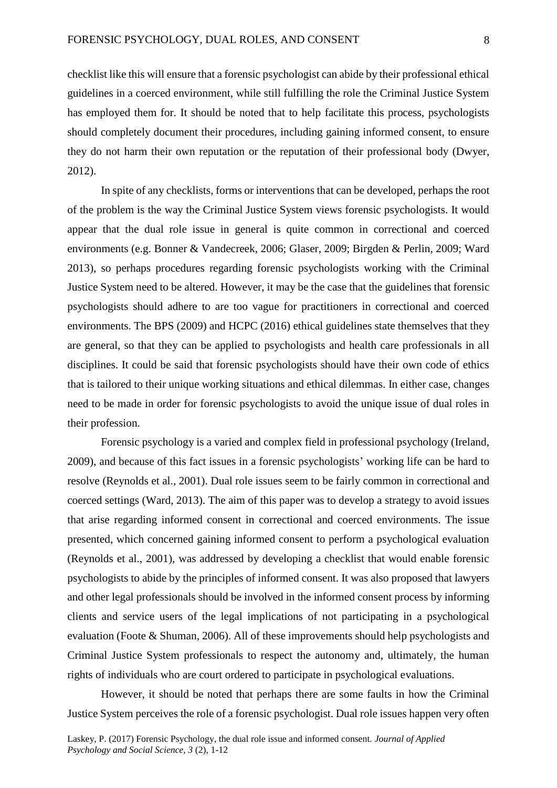checklist like this will ensure that a forensic psychologist can abide by their professional ethical guidelines in a coerced environment, while still fulfilling the role the Criminal Justice System has employed them for. It should be noted that to help facilitate this process, psychologists should completely document their procedures, including gaining informed consent, to ensure they do not harm their own reputation or the reputation of their professional body (Dwyer, 2012).

In spite of any checklists, forms or interventions that can be developed, perhaps the root of the problem is the way the Criminal Justice System views forensic psychologists. It would appear that the dual role issue in general is quite common in correctional and coerced environments (e.g. Bonner & Vandecreek, 2006; Glaser, 2009; Birgden & Perlin, 2009; Ward 2013), so perhaps procedures regarding forensic psychologists working with the Criminal Justice System need to be altered. However, it may be the case that the guidelines that forensic psychologists should adhere to are too vague for practitioners in correctional and coerced environments. The BPS (2009) and HCPC (2016) ethical guidelines state themselves that they are general, so that they can be applied to psychologists and health care professionals in all disciplines. It could be said that forensic psychologists should have their own code of ethics that is tailored to their unique working situations and ethical dilemmas. In either case, changes need to be made in order for forensic psychologists to avoid the unique issue of dual roles in their profession.

Forensic psychology is a varied and complex field in professional psychology (Ireland, 2009), and because of this fact issues in a forensic psychologists' working life can be hard to resolve (Reynolds et al., 2001). Dual role issues seem to be fairly common in correctional and coerced settings (Ward, 2013). The aim of this paper was to develop a strategy to avoid issues that arise regarding informed consent in correctional and coerced environments. The issue presented, which concerned gaining informed consent to perform a psychological evaluation (Reynolds et al., 2001), was addressed by developing a checklist that would enable forensic psychologists to abide by the principles of informed consent. It was also proposed that lawyers and other legal professionals should be involved in the informed consent process by informing clients and service users of the legal implications of not participating in a psychological evaluation (Foote & Shuman, 2006). All of these improvements should help psychologists and Criminal Justice System professionals to respect the autonomy and, ultimately, the human rights of individuals who are court ordered to participate in psychological evaluations.

However, it should be noted that perhaps there are some faults in how the Criminal Justice System perceives the role of a forensic psychologist. Dual role issues happen very often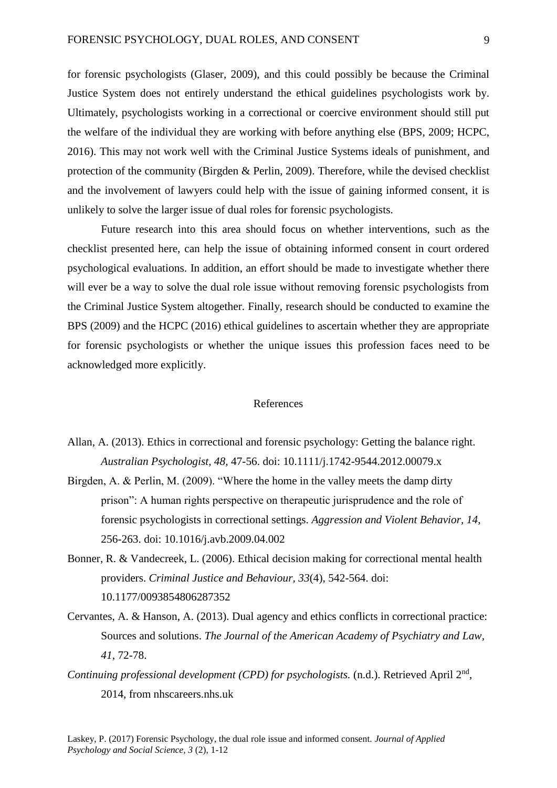for forensic psychologists (Glaser, 2009), and this could possibly be because the Criminal Justice System does not entirely understand the ethical guidelines psychologists work by. Ultimately, psychologists working in a correctional or coercive environment should still put the welfare of the individual they are working with before anything else (BPS, 2009; HCPC, 2016). This may not work well with the Criminal Justice Systems ideals of punishment, and protection of the community (Birgden & Perlin, 2009). Therefore, while the devised checklist and the involvement of lawyers could help with the issue of gaining informed consent, it is unlikely to solve the larger issue of dual roles for forensic psychologists.

Future research into this area should focus on whether interventions, such as the checklist presented here, can help the issue of obtaining informed consent in court ordered psychological evaluations. In addition, an effort should be made to investigate whether there will ever be a way to solve the dual role issue without removing forensic psychologists from the Criminal Justice System altogether. Finally, research should be conducted to examine the BPS (2009) and the HCPC (2016) ethical guidelines to ascertain whether they are appropriate for forensic psychologists or whether the unique issues this profession faces need to be acknowledged more explicitly.

#### References

- Allan, A. (2013). Ethics in correctional and forensic psychology: Getting the balance right. *Australian Psychologist, 48,* 47-56. doi: 10.1111/j.1742-9544.2012.00079.x
- Birgden, A. & Perlin, M. (2009). "Where the home in the valley meets the damp dirty prison": A human rights perspective on therapeutic jurisprudence and the role of forensic psychologists in correctional settings. *Aggression and Violent Behavior, 14,* 256-263. doi: 10.1016/j.avb.2009.04.002
- Bonner, R. & Vandecreek, L. (2006). Ethical decision making for correctional mental health providers. *Criminal Justice and Behaviour, 33*(4), 542-564. doi: 10.1177/0093854806287352
- Cervantes, A. & Hanson, A. (2013). Dual agency and ethics conflicts in correctional practice: Sources and solutions. *The Journal of the American Academy of Psychiatry and Law, 41,* 72-78.
- Continuing professional development (CPD) for psychologists. (n.d.). Retrieved April 2<sup>nd</sup>, 2014, from nhscareers.nhs.uk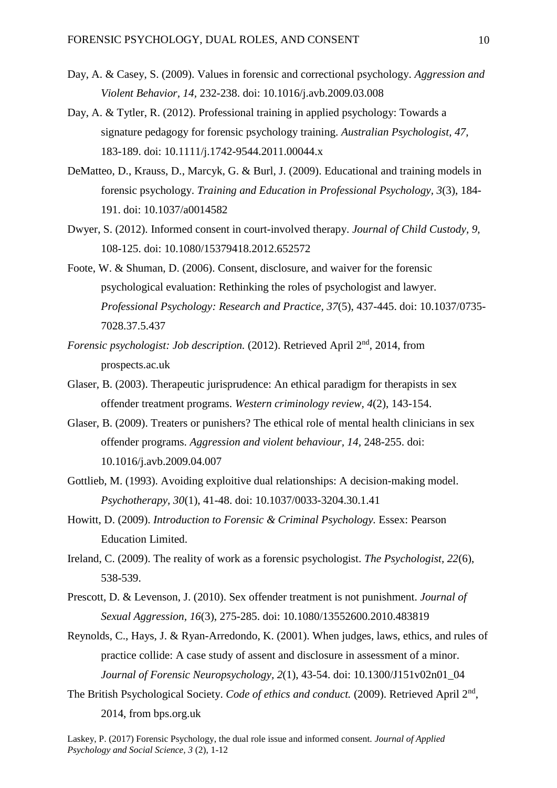- Day, A. & Casey, S. (2009). Values in forensic and correctional psychology. *Aggression and Violent Behavior, 14,* 232-238. doi: 10.1016/j.avb.2009.03.008
- Day, A. & Tytler, R. (2012). Professional training in applied psychology: Towards a signature pedagogy for forensic psychology training. *Australian Psychologist, 47,* 183-189. doi: 10.1111/j.1742-9544.2011.00044.x
- DeMatteo, D., Krauss, D., Marcyk, G. & Burl, J. (2009). Educational and training models in forensic psychology. *Training and Education in Professional Psychology, 3*(3), 184- 191. doi: 10.1037/a0014582
- Dwyer, S. (2012). Informed consent in court-involved therapy. *Journal of Child Custody, 9,* 108-125. doi: 10.1080/15379418.2012.652572
- Foote, W. & Shuman, D. (2006). Consent, disclosure, and waiver for the forensic psychological evaluation: Rethinking the roles of psychologist and lawyer. *Professional Psychology: Research and Practice, 37*(5), 437-445. doi: 10.1037/0735- 7028.37.5.437
- *Forensic psychologist: Job description.* (2012). Retrieved April 2<sup>nd</sup>, 2014, from prospects.ac.uk
- Glaser, B. (2003). Therapeutic jurisprudence: An ethical paradigm for therapists in sex offender treatment programs. *Western criminology review, 4*(2), 143-154.
- Glaser, B. (2009). Treaters or punishers? The ethical role of mental health clinicians in sex offender programs. *Aggression and violent behaviour, 14,* 248-255. doi: 10.1016/j.avb.2009.04.007
- Gottlieb, M. (1993). Avoiding exploitive dual relationships: A decision-making model. *Psychotherapy, 30*(1), 41-48. doi: 10.1037/0033-3204.30.1.41
- Howitt, D. (2009). *Introduction to Forensic & Criminal Psychology.* Essex: Pearson Education Limited.
- Ireland, C. (2009). The reality of work as a forensic psychologist. *The Psychologist, 22*(6), 538-539.
- Prescott, D. & Levenson, J. (2010). Sex offender treatment is not punishment. *Journal of Sexual Aggression, 16*(3), 275-285. doi: 10.1080/13552600.2010.483819
- Reynolds, C., Hays, J. & Ryan-Arredondo, K. (2001). When judges, laws, ethics, and rules of practice collide: A case study of assent and disclosure in assessment of a minor. *Journal of Forensic Neuropsychology, 2*(1), 43-54. doi: 10.1300/J151v02n01\_04
- The British Psychological Society. *Code of ethics and conduct*. (2009). Retrieved April 2<sup>nd</sup>, 2014, from bps.org.uk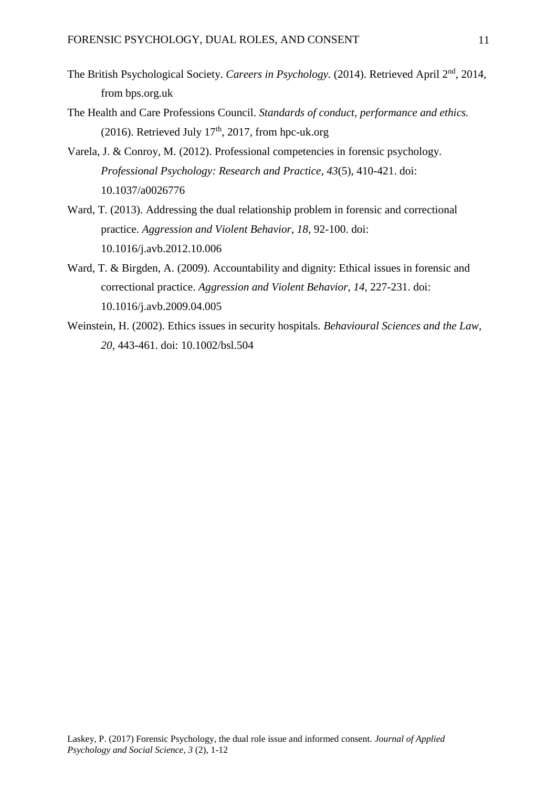- The British Psychological Society. *Careers in Psychology.* (2014). Retrieved April 2nd, 2014, from bps.org.uk
- The Health and Care Professions Council. *Standards of conduct, performance and ethics.*  (2016). Retrieved July  $17<sup>th</sup>$ , 2017, from hpc-uk.org
- Varela, J. & Conroy, M. (2012). Professional competencies in forensic psychology. *Professional Psychology: Research and Practice, 43*(5), 410-421. doi: 10.1037/a0026776
- Ward, T. (2013). Addressing the dual relationship problem in forensic and correctional practice. *Aggression and Violent Behavior, 18,* 92-100. doi: 10.1016/j.avb.2012.10.006
- Ward, T. & Birgden, A. (2009). Accountability and dignity: Ethical issues in forensic and correctional practice. *Aggression and Violent Behavior, 14,* 227-231. doi: 10.1016/j.avb.2009.04.005
- Weinstein, H. (2002). Ethics issues in security hospitals. *Behavioural Sciences and the Law, 20,* 443-461. doi: 10.1002/bsl.504